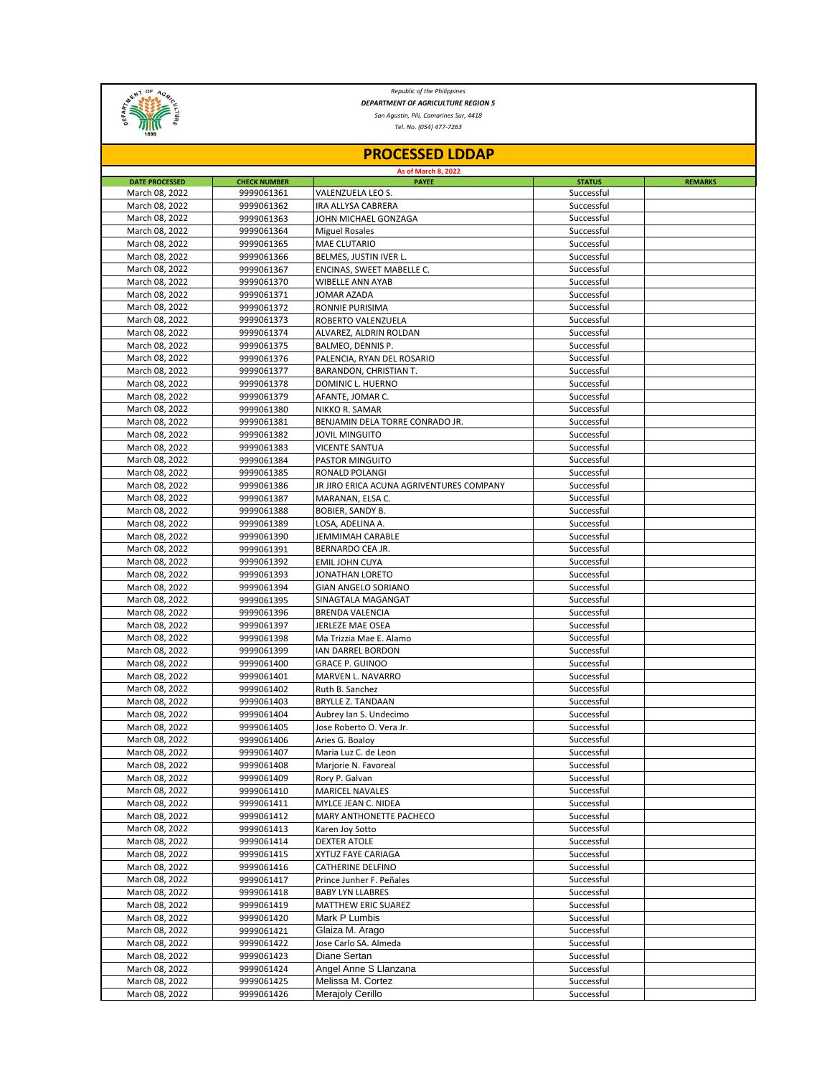

*Republic of the Philippines DEPARTMENT OF AGRICULTURE REGION 5*

*San Agustin, Pili, Camarines Sur, 4418*

*Tel. No. (054) 477-7263*

| <b>PROCESSED LDDAP</b>           |                          |                                             |                          |                |  |  |  |
|----------------------------------|--------------------------|---------------------------------------------|--------------------------|----------------|--|--|--|
| <b>As of March 8, 2022</b>       |                          |                                             |                          |                |  |  |  |
| <b>DATE PROCESSED</b>            | <b>CHECK NUMBER</b>      | <b>PAYEE</b>                                | <b>STATUS</b>            | <b>REMARKS</b> |  |  |  |
| March 08, 2022                   | 9999061361               | VALENZUELA LEO S.                           | Successful               |                |  |  |  |
| March 08, 2022                   | 9999061362               | IRA ALLYSA CABRERA                          | Successful               |                |  |  |  |
| March 08, 2022                   | 9999061363               | JOHN MICHAEL GONZAGA                        | Successful               |                |  |  |  |
| March 08, 2022                   | 9999061364               | <b>Miguel Rosales</b>                       | Successful               |                |  |  |  |
| March 08, 2022                   | 9999061365               | <b>MAE CLUTARIO</b>                         | Successful               |                |  |  |  |
| March 08, 2022                   | 9999061366               | BELMES, JUSTIN IVER L.                      | Successful               |                |  |  |  |
| March 08, 2022                   | 9999061367               | ENCINAS, SWEET MABELLE C.                   | Successful               |                |  |  |  |
| March 08, 2022                   | 9999061370               | <b>WIBELLE ANN AYAB</b>                     | Successful               |                |  |  |  |
| March 08, 2022                   | 9999061371<br>9999061372 | JOMAR AZADA                                 | Successful               |                |  |  |  |
| March 08, 2022<br>March 08, 2022 |                          | RONNIE PURISIMA<br>ROBERTO VALENZUELA       | Successful               |                |  |  |  |
|                                  | 9999061373               |                                             | Successful<br>Successful |                |  |  |  |
| March 08, 2022<br>March 08, 2022 | 9999061374<br>9999061375 | ALVAREZ, ALDRIN ROLDAN<br>BALMEO, DENNIS P. | Successful               |                |  |  |  |
| March 08, 2022                   | 9999061376               | PALENCIA, RYAN DEL ROSARIO                  | Successful               |                |  |  |  |
| March 08, 2022                   | 9999061377               | BARANDON, CHRISTIAN T.                      | Successful               |                |  |  |  |
| March 08, 2022                   | 9999061378               | DOMINIC L. HUERNO                           | Successful               |                |  |  |  |
| March 08, 2022                   | 9999061379               | AFANTE, JOMAR C.                            | Successful               |                |  |  |  |
| March 08, 2022                   | 9999061380               | NIKKO R. SAMAR                              | Successful               |                |  |  |  |
| March 08, 2022                   | 9999061381               | BENJAMIN DELA TORRE CONRADO JR.             | Successful               |                |  |  |  |
| March 08, 2022                   | 9999061382               | JOVIL MINGUITO                              | Successful               |                |  |  |  |
| March 08, 2022                   | 9999061383               | <b>VICENTE SANTUA</b>                       | Successful               |                |  |  |  |
| March 08, 2022                   | 9999061384               | PASTOR MINGUITO                             | Successful               |                |  |  |  |
| March 08, 2022                   | 9999061385               | RONALD POLANGI                              | Successful               |                |  |  |  |
| March 08, 2022                   | 9999061386               | JR JIRO ERICA ACUNA AGRIVENTURES COMPANY    | Successful               |                |  |  |  |
| March 08, 2022                   | 9999061387               | MARANAN, ELSA C.                            | Successful               |                |  |  |  |
| March 08, 2022                   | 9999061388               | BOBIER, SANDY B.                            | Successful               |                |  |  |  |
| March 08, 2022                   | 9999061389               | LOSA, ADELINA A.                            | Successful               |                |  |  |  |
| March 08, 2022                   | 9999061390               | JEMMIMAH CARABLE                            | Successful               |                |  |  |  |
| March 08, 2022                   | 9999061391               | BERNARDO CEA JR.                            | Successful               |                |  |  |  |
| March 08, 2022                   | 9999061392               | <b>EMIL JOHN CUYA</b>                       | Successful               |                |  |  |  |
| March 08, 2022                   | 9999061393               | JONATHAN LORETO                             | Successful               |                |  |  |  |
| March 08, 2022                   | 9999061394               | GIAN ANGELO SORIANO                         | Successful               |                |  |  |  |
| March 08, 2022                   | 9999061395               | SINAGTALA MAGANGAT                          | Successful               |                |  |  |  |
| March 08, 2022                   | 9999061396               | <b>BRENDA VALENCIA</b>                      | Successful               |                |  |  |  |
| March 08, 2022                   | 9999061397               | JERLEZE MAE OSEA                            | Successful               |                |  |  |  |
| March 08, 2022                   | 9999061398               | Ma Trizzia Mae E. Alamo                     | Successful               |                |  |  |  |
| March 08, 2022                   | 9999061399               | IAN DARREL BORDON                           | Successful               |                |  |  |  |
| March 08, 2022                   | 9999061400               | <b>GRACE P. GUINOO</b>                      | Successful               |                |  |  |  |
| March 08, 2022                   | 9999061401               | MARVEN L. NAVARRO                           | Successful               |                |  |  |  |
| March 08, 2022                   | 9999061402               | Ruth B. Sanchez                             | Successful               |                |  |  |  |
| March 08, 2022                   | 9999061403               | <b>BRYLLE Z. TANDAAN</b>                    | Successful               |                |  |  |  |
| March 08, 2022                   | 9999061404               | Aubrey Ian S. Undecimo                      | Successful               |                |  |  |  |
| March 08, 2022                   | 9999061405               | Jose Roberto O. Vera Jr.                    | Successful               |                |  |  |  |
| March 08, 2022                   | 9999061406               | Aries G. Boaloy                             | Successful               |                |  |  |  |
| March 08, 2022                   | 9999061407               | Maria Luz C. de Leon                        | Successful               |                |  |  |  |
| March 08, 2022                   | 9999061408               | Marjorie N. Favoreal                        | Successful               |                |  |  |  |
| March 08, 2022<br>March 08, 2022 | 9999061409               | Rory P. Galvan                              | Successful<br>Successful |                |  |  |  |
| March 08, 2022                   | 9999061410               | MARICEL NAVALES<br>MYLCE JEAN C. NIDEA      | Successful               |                |  |  |  |
| March 08, 2022                   | 9999061411<br>9999061412 | MARY ANTHONETTE PACHECO                     | Successful               |                |  |  |  |
| March 08, 2022                   | 9999061413               | Karen Joy Sotto                             | Successful               |                |  |  |  |
| March 08, 2022                   | 9999061414               | <b>DEXTER ATOLE</b>                         | Successful               |                |  |  |  |
| March 08, 2022                   | 9999061415               | XYTUZ FAYE CARIAGA                          | Successful               |                |  |  |  |
| March 08, 2022                   | 9999061416               | CATHERINE DELFINO                           | Successful               |                |  |  |  |
| March 08, 2022                   | 9999061417               | Prince Junher F. Peñales                    | Successful               |                |  |  |  |
| March 08, 2022                   | 9999061418               | <b>BABY LYN LLABRES</b>                     | Successful               |                |  |  |  |
| March 08, 2022                   | 9999061419               | MATTHEW ERIC SUAREZ                         | Successful               |                |  |  |  |
| March 08, 2022                   | 9999061420               | Mark P Lumbis                               | Successful               |                |  |  |  |
| March 08, 2022                   | 9999061421               | Glaiza M. Arago                             | Successful               |                |  |  |  |
| March 08, 2022                   | 9999061422               | Jose Carlo SA. Almeda                       | Successful               |                |  |  |  |
| March 08, 2022                   | 9999061423               | Diane Sertan                                | Successful               |                |  |  |  |
| March 08, 2022                   | 9999061424               | Angel Anne S Llanzana                       | Successful               |                |  |  |  |
| March 08, 2022                   | 9999061425               | Melissa M. Cortez                           | Successful               |                |  |  |  |
| March 08, 2022                   | 9999061426               | Merajoly Cerillo                            | Successful               |                |  |  |  |